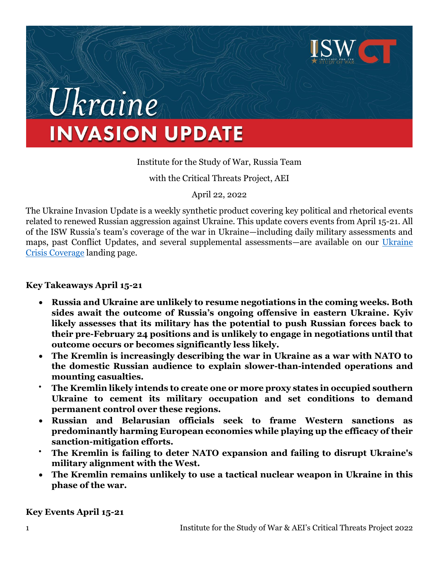

# Ukraine **INVASION UPDATE**

# Institute for the Study of War, Russia Team

with the Critical Threats Project, AEI

April 22, 2022

The Ukraine Invasion Update is a weekly synthetic product covering key political and rhetorical events related to renewed Russian aggression against Ukraine. This update covers events from April 15-21. All of the ISW Russia's team's coverage of the war in Ukraine—including daily military assessments and maps, past Conflict Updates, and several supplemental assessments—are available on our [Ukraine](https://www.understandingwar.org/ukraine-crisis-coverage)  [Crisis Coverage](https://www.understandingwar.org/ukraine-crisis-coverage) landing page.

#### **Key Takeaways April 15-21**

- **Russia and Ukraine are unlikely to resume negotiations in the coming weeks. Both sides await the outcome of Russia's ongoing offensive in eastern Ukraine. Kyiv likely assesses that its military has the potential to push Russian forces back to their pre-February 24 positions and is unlikely to engage in negotiations until that outcome occurs or becomes significantly less likely.**
- **The Kremlin is increasingly describing the war in Ukraine as a war with NATO to the domestic Russian audience to explain slower-than-intended operations and mounting casualties.**
- **The Kremlin likely intends to create one or more proxy states in occupied southern Ukraine to cement its military occupation and set conditions to demand permanent control over these regions.**
- **Russian and Belarusian officials seek to frame Western sanctions as predominantly harming European economies while playing up the efficacy of their sanction-mitigation efforts.**
- **The Kremlin is failing to deter NATO expansion and failing to disrupt Ukraine's military alignment with the West.**
- **The Kremlin remains unlikely to use a tactical nuclear weapon in Ukraine in this phase of the war.**

**Key Events April 15-21**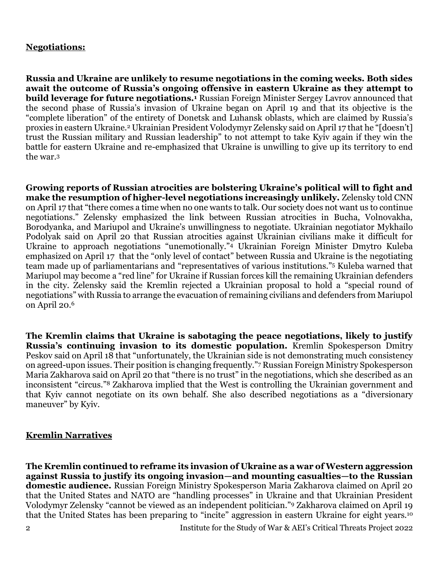# **Negotiations:**

**Russia and Ukraine are unlikely to resume negotiations in the coming weeks. Both sides await the outcome of Russia's ongoing offensive in eastern Ukraine as they attempt to build leverage for future negotiations.<sup>1</sup>** Russian Foreign Minister Sergey Lavrov announced that the second phase of Russia's invasion of Ukraine began on April 19 and that its objective is the "complete liberation" of the entirety of Donetsk and Luhansk oblasts, which are claimed by Russia's proxies in eastern Ukraine.<sup>2</sup> Ukrainian President Volodymyr Zelensky said on April 17 that he "[doesn't] trust the Russian military and Russian leadership" to not attempt to take Kyiv again if they win the battle for eastern Ukraine and re-emphasized that Ukraine is unwilling to give up its territory to end the war.<sup>3</sup>

**Growing reports of Russian atrocities are bolstering Ukraine's political will to fight and make the resumption of higher-level negotiations increasingly unlikely.** Zelensky told CNN on April 17 that "there comes a time when no one wants to talk. Our society does not want us to continue negotiations." Zelensky emphasized the link between Russian atrocities in Bucha, Volnovakha, Borodyanka, and Mariupol and Ukraine's unwillingness to negotiate. Ukrainian negotiator Mykhailo Podolyak said on April 20 that Russian atrocities against Ukrainian civilians make it difficult for Ukraine to approach negotiations "unemotionally."<sup>4</sup> Ukrainian Foreign Minister Dmytro Kuleba emphasized on April 17 that the "only level of contact" between Russia and Ukraine is the negotiating team made up of parliamentarians and "representatives of various institutions."<sup>5</sup> Kuleba warned that Mariupol may become a "red line" for Ukraine if Russian forces kill the remaining Ukrainian defenders in the city. Zelensky said the Kremlin rejected a Ukrainian proposal to hold a "special round of negotiations" with Russia to arrange the evacuation of remaining civilians and defenders from Mariupol on April 20.<sup>6</sup>

**The Kremlin claims that Ukraine is sabotaging the peace negotiations, likely to justify Russia's continuing invasion to its domestic population.** Kremlin Spokesperson Dmitry Peskov said on April 18 that "unfortunately, the Ukrainian side is not demonstrating much consistency on agreed-upon issues. Their position is changing frequently."<sup>7</sup> Russian Foreign Ministry Spokesperson Maria Zakharova said on April 20 that "there is no trust" in the negotiations, which she described as an inconsistent "circus."<sup>8</sup> Zakharova implied that the West is controlling the Ukrainian government and that Kyiv cannot negotiate on its own behalf. She also described negotiations as a "diversionary maneuver" by Kyiv.

#### **Kremlin Narratives**

**The Kremlin continued to reframe its invasion of Ukraine as a war of Western aggression against Russia to justify its ongoing invasion—and mounting casualties—to the Russian domestic audience.** Russian Foreign Ministry Spokesperson Maria Zakharova claimed on April 20 that the United States and NATO are "handling processes" in Ukraine and that Ukrainian President Volodymyr Zelensky "cannot be viewed as an independent politician."<sup>9</sup> Zakharova claimed on April 19 that the United States has been preparing to "incite" aggression in eastern Ukraine for eight years.10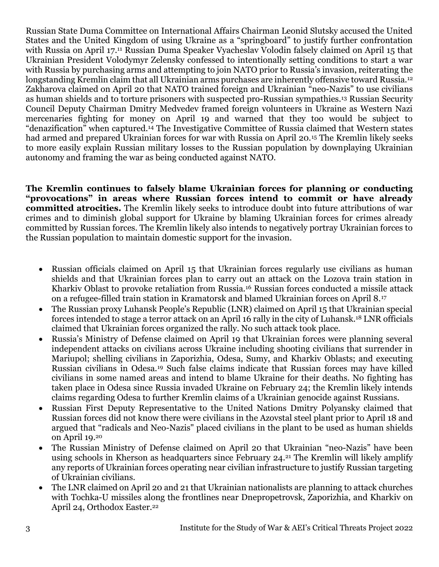Russian State Duma Committee on International Affairs Chairman Leonid Slutsky accused the United States and the United Kingdom of using Ukraine as a "springboard" to justify further confrontation with Russia on April 17.<sup>11</sup> Russian Duma Speaker Vyacheslav Volodin falsely claimed on April 15 that Ukrainian President Volodymyr Zelensky confessed to intentionally setting conditions to start a war with Russia by purchasing arms and attempting to join NATO prior to Russia's invasion, reiterating the longstanding Kremlin claim that all Ukrainian arms purchases are inherently offensive toward Russia.<sup>12</sup> Zakharova claimed on April 20 that NATO trained foreign and Ukrainian "neo-Nazis" to use civilians as human shields and to torture prisoners with suspected pro-Russian sympathies.<sup>13</sup> Russian Security Council Deputy Chairman Dmitry Medvedev framed foreign volunteers in Ukraine as Western Nazi mercenaries fighting for money on April 19 and warned that they too would be subject to "denazification" when captured.<sup>14</sup> The Investigative Committee of Russia claimed that Western states had armed and prepared Ukrainian forces for war with Russia on April 20.<sup>15</sup> The Kremlin likely seeks to more easily explain Russian military losses to the Russian population by downplaying Ukrainian autonomy and framing the war as being conducted against NATO.

**The Kremlin continues to falsely blame Ukrainian forces for planning or conducting "provocations" in areas where Russian forces intend to commit or have already committed atrocities.** The Kremlin likely seeks to introduce doubt into future attributions of war crimes and to diminish global support for Ukraine by blaming Ukrainian forces for crimes already committed by Russian forces. The Kremlin likely also intends to negatively portray Ukrainian forces to the Russian population to maintain domestic support for the invasion.

- Russian officials claimed on April 15 that Ukrainian forces regularly use civilians as human shields and that Ukrainian forces plan to carry out an attack on the Lozova train station in Kharkiv Oblast to provoke retaliation from Russia.<sup>16</sup> Russian forces conducted a missile attack on a refugee-filled train station in Kramatorsk and blamed Ukrainian forces on April 8.<sup>17</sup>
- The Russian proxy Luhansk People's Republic (LNR) claimed on April 15 that Ukrainian special forces intended to stage a terror attack on an April 16 rally in the city of Luhansk.<sup>18</sup> LNR officials claimed that Ukrainian forces organized the rally. No such attack took place.
- Russia's Ministry of Defense claimed on April 19 that Ukrainian forces were planning several independent attacks on civilians across Ukraine including shooting civilians that surrender in Mariupol; shelling civilians in Zaporizhia, Odesa, Sumy, and Kharkiv Oblasts; and executing Russian civilians in Odesa.<sup>19</sup> Such false claims indicate that Russian forces may have killed civilians in some named areas and intend to blame Ukraine for their deaths. No fighting has taken place in Odesa since Russia invaded Ukraine on February 24; the Kremlin likely intends claims regarding Odesa to further Kremlin claims of a Ukrainian genocide against Russians.
- Russian First Deputy Representative to the United Nations Dmitry Polyansky claimed that Russian forces did not know there were civilians in the Azovstal steel plant prior to April 18 and argued that "radicals and Neo-Nazis" placed civilians in the plant to be used as human shields on April 19.<sup>20</sup>
- The Russian Ministry of Defense claimed on April 20 that Ukrainian "neo-Nazis" have been using schools in Kherson as headquarters since February 24.<sup>21</sup> The Kremlin will likely amplify any reports of Ukrainian forces operating near civilian infrastructure to justify Russian targeting of Ukrainian civilians.
- The LNR claimed on April 20 and 21 that Ukrainian nationalists are planning to attack churches with Tochka-U missiles along the frontlines near Dnepropetrovsk, Zaporizhia, and Kharkiv on April 24, Orthodox Easter.<sup>22</sup>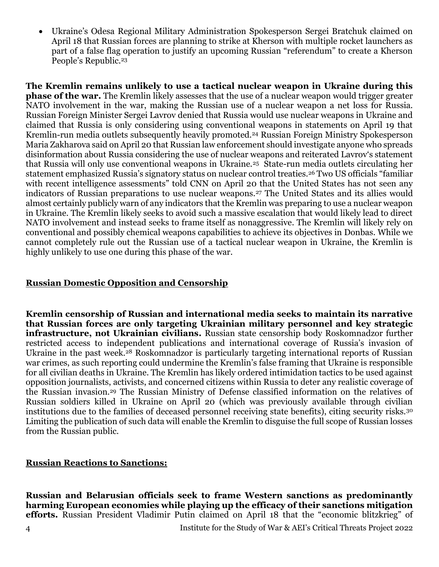• Ukraine's Odesa Regional Military Administration Spokesperson Sergei Bratchuk claimed on April 18 that Russian forces are planning to strike at Kherson with multiple rocket launchers as part of a false flag operation to justify an upcoming Russian "referendum" to create a Kherson People's Republic.<sup>23</sup>

**The Kremlin remains unlikely to use a tactical nuclear weapon in Ukraine during this phase of the war.** The Kremlin likely assesses that the use of a nuclear weapon would trigger greater NATO involvement in the war, making the Russian use of a nuclear weapon a net loss for Russia. Russian Foreign Minister Sergei Lavrov denied that Russia would use nuclear weapons in Ukraine and claimed that Russia is only considering using conventional weapons in statements on April 19 that Kremlin-run media outlets subsequently heavily promoted.<sup>24</sup> Russian Foreign Ministry Spokesperson Maria Zakharova said on April 20 that Russian law enforcement should investigate anyone who spreads disinformation about Russia considering the use of nuclear weapons and reiterated Lavrov's statement that Russia will only use conventional weapons in Ukraine.25 State-run media outlets circulating her statement emphasized Russia's signatory status on nuclear control treaties.<sup>26</sup> Two US officials "familiar with recent intelligence assessments" told CNN on April 20 that the United States has not seen any indicators of Russian preparations to use nuclear weapons.<sup>27</sup> The United States and its allies would almost certainly publicly warn of any indicators that the Kremlin was preparing to use a nuclear weapon in Ukraine. The Kremlin likely seeks to avoid such a massive escalation that would likely lead to direct NATO involvement and instead seeks to frame itself as nonaggressive. The Kremlin will likely rely on conventional and possibly chemical weapons capabilities to achieve its objectives in Donbas. While we cannot completely rule out the Russian use of a tactical nuclear weapon in Ukraine, the Kremlin is highly unlikely to use one during this phase of the war.

#### **Russian Domestic Opposition and Censorship**

**Kremlin censorship of Russian and international media seeks to maintain its narrative that Russian forces are only targeting Ukrainian military personnel and key strategic infrastructure, not Ukrainian civilians.** Russian state censorship body Roskomnadzor further restricted access to independent publications and international coverage of Russia's invasion of Ukraine in the past week.<sup>28</sup> Roskomnadzor is particularly targeting international reports of Russian war crimes, as such reporting could undermine the Kremlin's false framing that Ukraine is responsible for all civilian deaths in Ukraine. The Kremlin has likely ordered intimidation tactics to be used against opposition journalists, activists, and concerned citizens within Russia to deter any realistic coverage of the Russian invasion.<sup>29</sup> The Russian Ministry of Defense classified information on the relatives of Russian soldiers killed in Ukraine on April 20 (which was previously available through civilian institutions due to the families of deceased personnel receiving state benefits), citing security risks.<sup>30</sup> Limiting the publication of such data will enable the Kremlin to disguise the full scope of Russian losses from the Russian public.

#### **Russian Reactions to Sanctions:**

**Russian and Belarusian officials seek to frame Western sanctions as predominantly harming European economies while playing up the efficacy of their sanctions mitigation efforts.** Russian President Vladimir Putin claimed on April 18 that the "economic blitzkrieg" of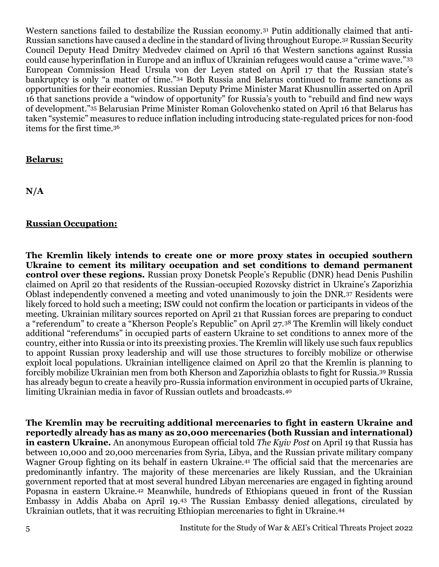Western sanctions failed to destabilize the Russian economy.<sup>31</sup> Putin additionally claimed that anti-Russian sanctions have caused a decline in the standard of living throughout Europe.<sup>32</sup> Russian Security Council Deputy Head Dmitry Medvedev claimed on April 16 that Western sanctions against Russia could cause hyperinflation in Europe and an influx of Ukrainian refugees would cause a "crime wave."<sup>33</sup> European Commission Head Ursula von der Leyen stated on April 17 that the Russian state's bankruptcy is only "a matter of time."<sup>34</sup> Both Russia and Belarus continued to frame sanctions as opportunities for their economies. Russian Deputy Prime Minister Marat Khusnullin asserted on April 16 that sanctions provide a "window of opportunity" for Russia's youth to "rebuild and find new ways of development."<sup>35</sup> Belarusian Prime Minister Roman Golovchenko stated on April 16 that Belarus has taken "systemic" measures to reduce inflation including introducing state-regulated prices for non-food items for the first time.<sup>36</sup>

#### **Belarus:**

**N/A**

#### **Russian Occupation:**

**The Kremlin likely intends to create one or more proxy states in occupied southern Ukraine to cement its military occupation and set conditions to demand permanent control over these regions.** Russian proxy Donetsk People's Republic (DNR) head Denis Pushilin claimed on April 20 that residents of the Russian-occupied Rozovsky district in Ukraine's Zaporizhia Oblast independently convened a meeting and voted unanimously to join the DNR.<sup>37</sup> Residents were likely forced to hold such a meeting; ISW could not confirm the location or participants in videos of the meeting. Ukrainian military sources reported on April 21 that Russian forces are preparing to conduct a "referendum" to create a "Kherson People's Republic" on April 27.<sup>38</sup> The Kremlin will likely conduct additional "referendums" in occupied parts of eastern Ukraine to set conditions to annex more of the country, either into Russia or into its preexisting proxies. The Kremlin will likely use such faux republics to appoint Russian proxy leadership and will use those structures to forcibly mobilize or otherwise exploit local populations. Ukrainian intelligence claimed on April 20 that the Kremlin is planning to forcibly mobilize Ukrainian men from both Kherson and Zaporizhia oblasts to fight for Russia.<sup>39</sup> Russia has already begun to create a heavily pro-Russia information environment in occupied parts of Ukraine, limiting Ukrainian media in favor of Russian outlets and broadcasts.<sup>40</sup>

**The Kremlin may be recruiting additional mercenaries to fight in eastern Ukraine and reportedly already has as many as 20,000 mercenaries (both Russian and international) in eastern Ukraine.** An anonymous European official told *The Kyiv Post* on April 19 that Russia has between 10,000 and 20,000 mercenaries from Syria, Libya, and the Russian private military company Wagner Group fighting on its behalf in eastern Ukraine.<sup>41</sup> The official said that the mercenaries are predominantly infantry. The majority of these mercenaries are likely Russian, and the Ukrainian government reported that at most several hundred Libyan mercenaries are engaged in fighting around Popasna in eastern Ukraine.<sup>42</sup> Meanwhile, hundreds of Ethiopians queued in front of the Russian Embassy in Addis Ababa on April 19.<sup>43</sup> The Russian Embassy denied allegations, circulated by Ukrainian outlets, that it was recruiting Ethiopian mercenaries to fight in Ukraine.44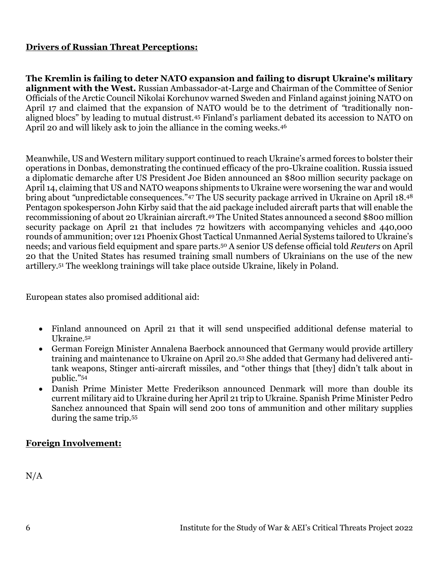# **Drivers of Russian Threat Perceptions:**

**The Kremlin is failing to deter NATO expansion and failing to disrupt Ukraine's military alignment with the West.** Russian Ambassador-at-Large and Chairman of the Committee of Senior Officials of the Arctic Council Nikolai Korchunov warned Sweden and Finland against joining NATO on April 17 and claimed that the expansion of NATO would be to the detriment of *"*traditionally nonaligned blocs" by leading to mutual distrust.<sup>45</sup> Finland's parliament debated its accession to NATO on April 20 and will likely ask to join the alliance in the coming weeks.<sup>46</sup>

Meanwhile, US and Western military support continued to reach Ukraine's armed forces to bolster their operations in Donbas, demonstrating the continued efficacy of the pro-Ukraine coalition. Russia issued a diplomatic demarche after US President Joe Biden announced an \$800 million security package on April 14, claiming that US and NATO weapons shipments to Ukraine were worsening the war and would bring about *"*unpredictable consequences."<sup>47</sup> The US security package arrived in Ukraine on April 18.<sup>48</sup> Pentagon spokesperson John Kirby said that the aid package included aircraft parts that will enable the recommissioning of about 20 Ukrainian aircraft.<sup>49</sup> The United States announced a second \$800 million security package on April 21 that includes 72 howitzers with accompanying vehicles and 440,000 rounds of ammunition; over 121 Phoenix Ghost Tactical Unmanned Aerial Systems tailored to Ukraine's needs; and various field equipment and spare parts.<sup>50</sup> A senior US defense official told *Reuters* on April 20 that the United States has resumed training small numbers of Ukrainians on the use of the new artillery.<sup>51</sup> The weeklong trainings will take place outside Ukraine, likely in Poland.

European states also promised additional aid:

- Finland announced on April 21 that it will send unspecified additional defense material to Ukraine. 52
- German Foreign Minister Annalena Baerbock announced that Germany would provide artillery training and maintenance to Ukraine on April 20.<sup>53</sup> She added that Germany had delivered antitank weapons, Stinger anti-aircraft missiles, and "other things that [they] didn't talk about in public."<sup>54</sup>
- Danish Prime Minister Mette Frederikson announced Denmark will more than double its current military aid to Ukraine during her April 21 trip to Ukraine. Spanish Prime Minister Pedro Sanchez announced that Spain will send 200 tons of ammunition and other military supplies during the same trip.<sup>55</sup>

#### **Foreign Involvement:**

 $N/A$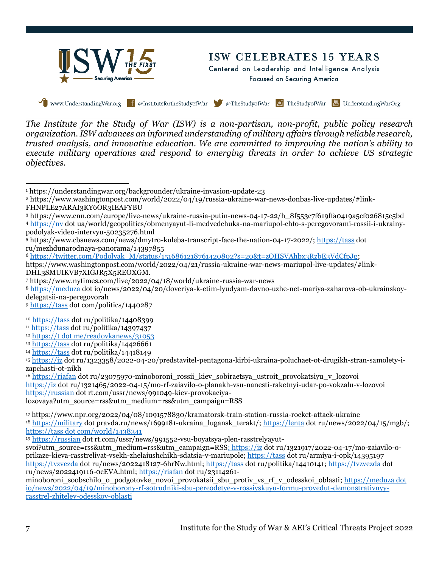

# ISW CELEBRATES 15 YEARS

Centered on Leadership and Intelligence Analysis Focused on Securing America

Www.UnderstandingWar.org f @InstitutefortheStudyofWar @TheStudyofWar TheStudyofWar B UnderstandingWarOrg

*The Institute for the Study of War (ISW) is a non-partisan, non-profit, public policy research organization. ISW advances an informed understanding of military affairs through reliable research, trusted analysis, and innovative education. We are committed to improving the nation's ability to execute military operations and respond to emerging threats in order to achieve US strategic objectives.*

<sup>3</sup> https://www.cnn.com/europe/live-news/ukraine-russia-putin-news-04-17-22/h\_8f553c7f619ffa0419a5cf026815c5bd <sup>4</sup> [https://nv](https://nv/) dot ua/world/geopolitics/obmenyayut-li-medvedchuka-na-mariupol-chto-s-peregovorami-rossii-i-ukrainypodolyak-video-intervyu-50235276.html

<sup>6</sup> [https://twitter.com/Podolyak\\_M/status/1516861218761420802?s=20&t=zQHSVAhbx3RzbE3VdCfpJg;](https://twitter.com/Podolyak_M/status/1516861218761420802?s=20&t=zQHSVAhbx3RzbE3VdCfpJg)

https://www.washingtonpost.com/world/2022/04/21/russia-ukraine-war-news-mariupol-live-updates/#link-DHL3SMUIKVB7XIGJR5X5REOXGM.

<sup>7</sup> https://www.nytimes.com/live/2022/04/18/world/ukraine-russia-war-news

<sup>8</sup> [https://meduza](https://meduza/) dot io/news/2022/04/20/doveriya-k-etim-lyudyam-davno-uzhe-net-mariya-zaharova-ob-ukrainskoydelegatsii-na-peregovorah

<sup>9</sup> [https://tass](https://tass/) dot com/politics/1440287

- <sup>10</sup> [https://tass](https://tass/) dot ru/politika/14408399
- <sup>11</sup> [https://tass](https://tass/) dot ru/politika/14397437

<sup>12</sup> https://t dot me/readovkanews/31053

<sup>15</sup> [https://iz](https://iz/) dot ru/1323358/2022-04-20/predstavitel-pentagona-kirbi-ukraina-poluchaet-ot-drugikh-stran-samolety-izapchasti-ot-nikh

<sup>16</sup> [https://riafan](https://riafan/) dot ru/23075970-minoboroni\_rossii\_kiev\_sobiraetsya\_ustroit\_provokatsiyu\_v\_lozovoi [https://iz](https://iz/) dot ru/1321465/2022-04-15/mo-rf-zaiavilo-o-planakh-vsu-nanesti-raketnyi-udar-po-vokzalu-v-lozovoi [https://russian](https://russian/) dot rt.com/ussr/news/991049-kiev-provokaciya-

lozovaya?utm\_source=rss&utm\_medium=rss&utm\_campaign=RSS

<sup>17</sup> https://www.npr.org/2022/04/08/1091578830/kramatorsk-train-station-russia-rocket-attack-ukraine <sup>18</sup> [https://military](https://military/) dot pravda.ru/news/1699181-ukraina\_lugansk\_terakt/; [https://lenta](https://lenta/) dot ru/news/2022/04/15/mgb/; https://tass dot com/world/1438341

<sup>19</sup> [https://russian](https://russian/) dot rt.com/ussr/news/991552-vsu-boyatsya-plen-rasstrelyayut-

svoi?utm\_source=rss&utm\_medium=rss&utm\_campaign=RSS; [https://iz](https://iz/) dot ru/1321917/2022-04-17/mo-zaiavilo-oprikaze-kieva-rasstrelivat-vsekh-zhelaiushchikh-sdatsia-v-mariupole; [https://tass](https://tass/) dot ru/armiya-i-opk/14395197 [https://tvzvezda](https://tvzvezda/) dot ru/news/2022418127-6hrNw.html[; https://tass](https://tass/) dot ru/politika/14410141; [https://tvzvezda](https://tvzvezda/) dot ru/news/2022419116-0cEVA.html; [https://riafan](https://riafan/) dot ru/23114261-

minoboroni\_soobschilo\_o\_podgotovke\_novoi\_provokatsii\_sbu\_protiv\_vs\_rf\_v\_odesskoi\_oblasti; https://meduza dot io/news/2022/04/19/minoborony-rf-sotrudniki-sbu-pereodetye-v-rossiyskuyu-formu-provedut-demonstrativnyyrasstrel-zhiteley-odesskoy-oblasti

<sup>1</sup> https://understandingwar.org/backgrounder/ukraine-invasion-update-23

<sup>2</sup> https://www.washingtonpost.com/world/2022/04/19/russia-ukraine-war-news-donbas-live-updates/#link-FHNPLE27ARAI3KY6OR3IEAFYBU

<sup>5</sup> https://www.cbsnews.com/news/dmytro-kuleba-transcript-face-the-nation-04-17-2022/; [https://tass](https://tass/) dot ru/mezhdunarodnaya-panorama/14397855

<sup>13</sup> [https://tass](https://tass/) dot ru/politika/14426661

<sup>14</sup> [https://tass](https://tass/) dot ru/politika/14418149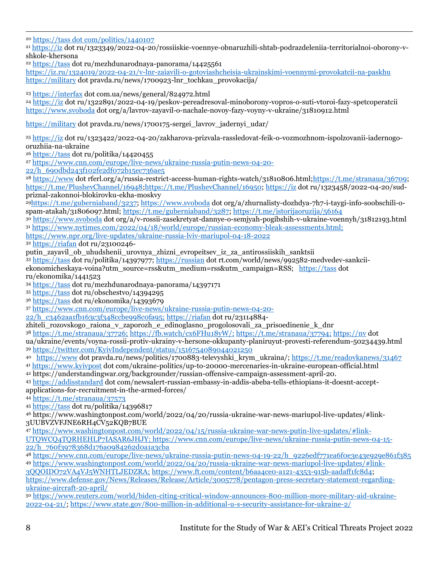<sup>20</sup> [https://tass dot com/politics/1440107](https://tass.com/politics/1440107) <sup>21</sup> [https://iz](https://iz/) dot ru/1323349/2022-04-20/rossiiskie-voennye-obnaruzhili-shtab-podrazdeleniia-territorialnoi-oborony-vshkole-khersona <sup>22</sup> [https://tass](https://tass/) dot ru/mezhdunarodnaya-panorama/14425561 <https://iz.ru/1324019/2022-04-21/v-lnr-zaiavili-o-gotoviashcheisia-ukrainskimi-voennymi-provokatcii-na-paskhu> [https://military](https://military/) dot pravda.ru/news/1700923-lnr\_tochkau\_provokacija/ <sup>23</sup> [https://interfax](https://interfax/) dot com.ua/news/general/824972.html <sup>24</sup> [https://iz](https://iz/) dot ru/1322891/2022-04-19/peskov-pereadresoval-minoborony-vopros-o-suti-vtoroi-fazy-spetcoperatcii [https://www.svoboda](https://www.svoboda/) dot org/a/lavrov-zayavil-o-nachale-novoy-fazy-voyny-v-ukraine/31810912.html [https://military](https://military/) dot pravda.ru/news/1700175-sergei\_lavrov\_jadernyi\_udar/ <sup>25</sup> [https://iz](https://iz/) dot ru/1323422/2022-04-20/zakharova-prizvala-rassledovat-feik-o-vozmozhnom-ispolzovanii-iadernogooruzhiia-na-ukraine <sup>26</sup> [https://tass](https://tass/) dot ru/politika/14420455 <sup>27</sup> [https://www.cnn.com/europe/live-news/ukraine-russia-putin-news-04-20-](https://www.cnn.com/europe/live-news/ukraine-russia-putin-news-04-20-22/h_690dbd243f102fe2df072b15ec736ae5) [22/h\\_690dbd243f102fe2df072b15ec736ae5](https://www.cnn.com/europe/live-news/ukraine-russia-putin-news-04-20-22/h_690dbd243f102fe2df072b15ec736ae5) <sup>28</sup> [https://www](https://www/) dot rferl.org/a/russia-restrict-access-human-rights-watch/31810806.html[;https://t.me/stranaua/36709;](https://t.me/stranaua/36709) <https://t.me/PlushevChannel/16948>[;https://t.me/PlushevChannel/16950;](https://t.me/PlushevChannel/16950) [https://iz](https://iz/) dot ru/1323458/2022-04-20/sudpriznal-zakonnoi-blokirovku-ekha-moskvy <sup>29</sup>[https://t.me/guberniaband/3237;](https://t.me/guberniaband/3237) [https://www.svoboda](https://www.svoboda/) dot org/a/zhurnalisty-dozhdya-7h7-i-taygi-info-soobschili-ospam-atakah/31806097.html; [https://t.me/guberniaband/3287;](https://t.me/guberniaband/3287) <https://t.me/istorijaoruzija/56164> <sup>30</sup> [https://www.svoboda](https://www.svoboda/) dot org/a/v-rossii-zasekretyat-dannye-o-semjyah-pogibshih-v-ukraine-voennyh/31812193.html <sup>31</sup> <https://www.nytimes.com/2022/04/18/world/europe/russian-economy-bleak-assessments.html;> <https://www.npr.org/live-updates/ukraine-russia-lviv-mariupol-04-18-2022> <sup>32</sup> [https://riafan](https://riafan/) dot ru/23100246 putin\_zayavil\_ob\_uhudshenii\_urovnya\_zhizni\_evropeitsev\_iz\_za\_antirossiiskih\_sanktsii  $\frac{1}{33}$  [https://tass](https://tass/) dot ru/politika/14397977[; https://russian](https://russian/) dot rt.com/world/news/992582-medvedev-sankciiekonomicheskaya-voina?utm\_source=rss&utm\_medium=rss&utm\_campaign=RSS; [https://tass](https://tass/) dot ru/ekonomika/1441523 <sup>34</sup> [https://tass](https://tass/) dot ru/mezhdunarodnaya-panorama/14397171 <sup>35</sup> [https://tass](https://tass/) dot ru/obschestvo/14394295 <sup>36</sup> [https://tass](https://tass/) dot ru/ekonomika/14393679 <sup>37</sup> [https://www.cnn.com/europe/live-news/ukraine-russia-putin-news-04-20-](https://www.cnn.com/europe/live-news/ukraine-russia-putin-news-04-20-22/h_c3462aa1fb163c3f348ccbe998c0fa95;) [22/h\\_c3462aa1fb163c3f348ccbe998c0fa95;](https://www.cnn.com/europe/live-news/ukraine-russia-putin-news-04-20-22/h_c3462aa1fb163c3f348ccbe998c0fa95;) [https://riafan](https://riafan/) dot ru/23114884 zhiteli\_rozovskogo\_raiona\_v\_zaporozh\_e\_edinoglasno\_progolosovali\_za\_prisoedinenie\_k\_dnr <sup>38</sup> <https://t.me/stranaua/37726;> <https://fb.watch/cx6FHu18yW/;> <https://t.me/stranaua/37794;> [https://nv](https://nv/) dot ua/ukraine/events/voyna-rossii-protiv-ukrainy-v-hersone-okkupanty-planiruyut-provesti-referendum-50234439.html <sup>39</sup> <https://twitter.com/KyivIndependent/status/1516754089044021250> <sup>40</sup> [https://www](https://www/) dot pravda.ru/news/politics/1700883-televyshki\_krym\_ukraina/;<https://t.me/readovkanews/31467> <sup>41</sup> [https://www.kyivpost](https://www.kyivpost/) dot com/ukraine-politics/up-to-20000-mercenaries-in-ukraine-european-official.html <sup>42</sup> https://understandingwar.org/backgrounder/russian-offensive-campaign-assessment-april-20. <sup>43</sup> [https://addisstandard](https://addisstandard/) dot com/newsalert-russian-embassy-in-addis-abeba-tells-ethiopians-it-doesnt-acceptapplications-for-recruitment-in-the-armed-forces/ <sup>44</sup> <https://t.me/stranaua/37573> <sup>45</sup> [https://tass](https://tass/) dot ru/politika/14396817 <sup>46</sup> https://www.washingtonpost.com/world/2022/04/20/russia-ukraine-war-news-mariupol-live-updates/#link-3UUBVZVFJNE6RH4CV52KQB7BUE <sup>47</sup> [https://www.washingtonpost.com/world/2022/04/15/russia-ukraine-war-news-putin-live-updates/#link-](https://www.washingtonpost.com/world/2022/04/15/russia-ukraine-war-news-putin-live-updates/#link-UTQWCQ4TQRHEHLP7IASAR6JHJY)[UTQWCQ4TQRHEHLP7IASAR6JHJY;](https://www.washingtonpost.com/world/2022/04/15/russia-ukraine-war-news-putin-live-updates/#link-UTQWCQ4TQRHEHLP7IASAR6JHJY) [https://www.cnn.com/europe/live-news/ukraine-russia-putin-news-04-15-](https://www.cnn.com/europe/live-news/ukraine-russia-putin-news-04-15-22/h_760f3978368d176a0984262d0a1a3cba) [22/h\\_760f3978368d176a0984262d0a1a3cba](https://www.cnn.com/europe/live-news/ukraine-russia-putin-news-04-15-22/h_760f3978368d176a0984262d0a1a3cba) <sup>48</sup> [https://www.cnn.com/europe/live-news/ukraine-russia-putin-news-04-19-22/h\\_9226edf771ea6f0e3e43e929e861f385](https://www.cnn.com/europe/live-news/ukraine-russia-putin-news-04-19-22/h_9226edf771ea6f0e3e43e929e861f385) <sup>49</sup> [https://www.washingtonpost.com/world/2022/04/20/russia-ukraine-war-news-mariupol-live-updates/#link-](https://www.washingtonpost.com/world/2022/04/20/russia-ukraine-war-news-mariupol-live-updates/#link-3QQOIDO72VA4VJ5WNHTLJEDZRA)[3QQOIDO72VA4VJ5WNHTLJEDZRA;](https://www.washingtonpost.com/world/2022/04/20/russia-ukraine-war-news-mariupol-live-updates/#link-3QQOIDO72VA4VJ5WNHTLJEDZRA) [https://www.ft.com/content/b6aa4ce0-a121-4353-915b-aadaff1fc8d4;](https://www.ft.com/content/b6aa4ce0-a121-4353-915b-aadaff1fc8d4)

[https://www.defense.gov/News/Releases/Release/Article/3005778/pentagon-press-secretary-statement-regarding](https://www.defense.gov/News/Releases/Release/Article/3005778/pentagon-press-secretary-statement-regarding-ukraine-aircraft-20-april/)[ukraine-aircraft-20-april/](https://www.defense.gov/News/Releases/Release/Article/3005778/pentagon-press-secretary-statement-regarding-ukraine-aircraft-20-april/)

<sup>50</sup> [https://www.reuters.com/world/biden-citing-critical-window-announces-800-million-more-military-aid-ukraine-](https://www.reuters.com/world/biden-citing-critical-window-announces-800-million-more-military-aid-ukraine-2022-04-21/)[2022-04-21/;](https://www.reuters.com/world/biden-citing-critical-window-announces-800-million-more-military-aid-ukraine-2022-04-21/)<https://www.state.gov/800-million-in-additional-u-s-security-assistance-for-ukraine-2/>